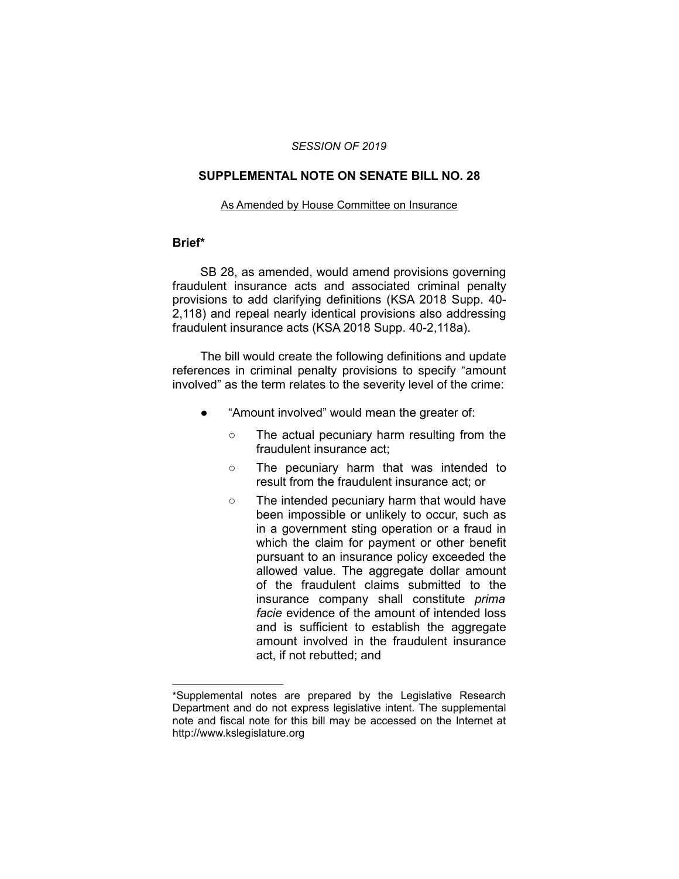#### *SESSION OF 2019*

## **SUPPLEMENTAL NOTE ON SENATE BILL NO. 28**

#### As Amended by House Committee on Insurance

#### **Brief\***

SB 28, as amended, would amend provisions governing fraudulent insurance acts and associated criminal penalty provisions to add clarifying definitions (KSA 2018 Supp. 40- 2,118) and repeal nearly identical provisions also addressing fraudulent insurance acts (KSA 2018 Supp. 40-2,118a).

The bill would create the following definitions and update references in criminal penalty provisions to specify "amount involved" as the term relates to the severity level of the crime:

- "Amount involved" would mean the greater of:
	- The actual pecuniary harm resulting from the fraudulent insurance act;
	- The pecuniary harm that was intended to result from the fraudulent insurance act; or
	- The intended pecuniary harm that would have been impossible or unlikely to occur, such as in a government sting operation or a fraud in which the claim for payment or other benefit pursuant to an insurance policy exceeded the allowed value. The aggregate dollar amount of the fraudulent claims submitted to the insurance company shall constitute *prima facie* evidence of the amount of intended loss and is sufficient to establish the aggregate amount involved in the fraudulent insurance act, if not rebutted; and

 $\overline{\phantom{a}}$  , where  $\overline{\phantom{a}}$  , where  $\overline{\phantom{a}}$ 

<sup>\*</sup>Supplemental notes are prepared by the Legislative Research Department and do not express legislative intent. The supplemental note and fiscal note for this bill may be accessed on the Internet at http://www.kslegislature.org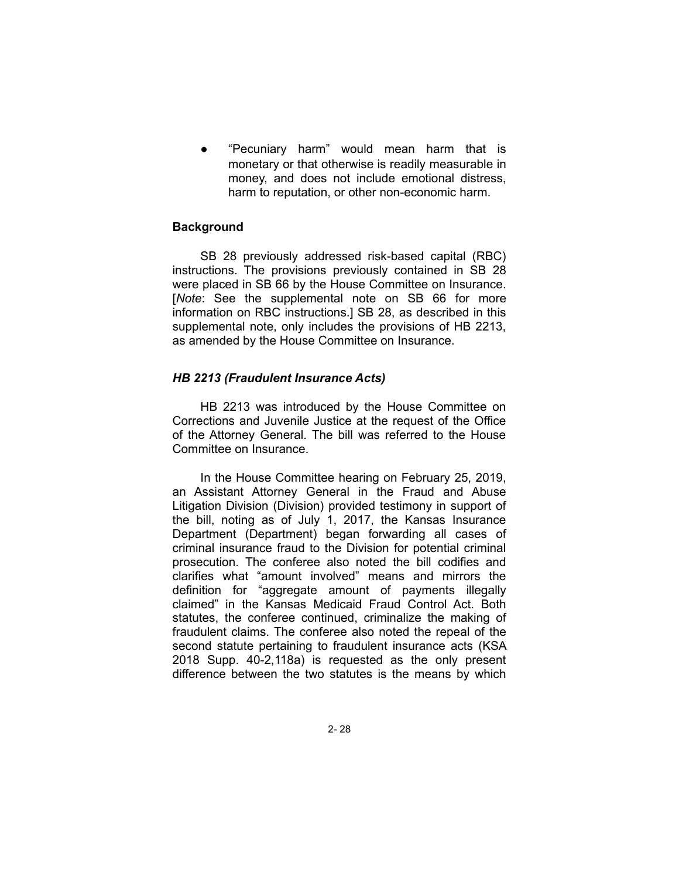"Pecuniary harm" would mean harm that is monetary or that otherwise is readily measurable in money, and does not include emotional distress, harm to reputation, or other non-economic harm.

# **Background**

SB 28 previously addressed risk-based capital (RBC) instructions. The provisions previously contained in SB 28 were placed in SB 66 by the House Committee on Insurance. [*Note*: See the supplemental note on SB 66 for more information on RBC instructions.] SB 28, as described in this supplemental note, only includes the provisions of HB 2213, as amended by the House Committee on Insurance.

## *HB 2213 (Fraudulent Insurance Acts)*

HB 2213 was introduced by the House Committee on Corrections and Juvenile Justice at the request of the Office of the Attorney General. The bill was referred to the House Committee on Insurance.

In the House Committee hearing on February 25, 2019, an Assistant Attorney General in the Fraud and Abuse Litigation Division (Division) provided testimony in support of the bill, noting as of July 1, 2017, the Kansas Insurance Department (Department) began forwarding all cases of criminal insurance fraud to the Division for potential criminal prosecution. The conferee also noted the bill codifies and clarifies what "amount involved" means and mirrors the definition for "aggregate amount of payments illegally claimed" in the Kansas Medicaid Fraud Control Act. Both statutes, the conferee continued, criminalize the making of fraudulent claims. The conferee also noted the repeal of the second statute pertaining to fraudulent insurance acts (KSA 2018 Supp. 40-2,118a) is requested as the only present difference between the two statutes is the means by which